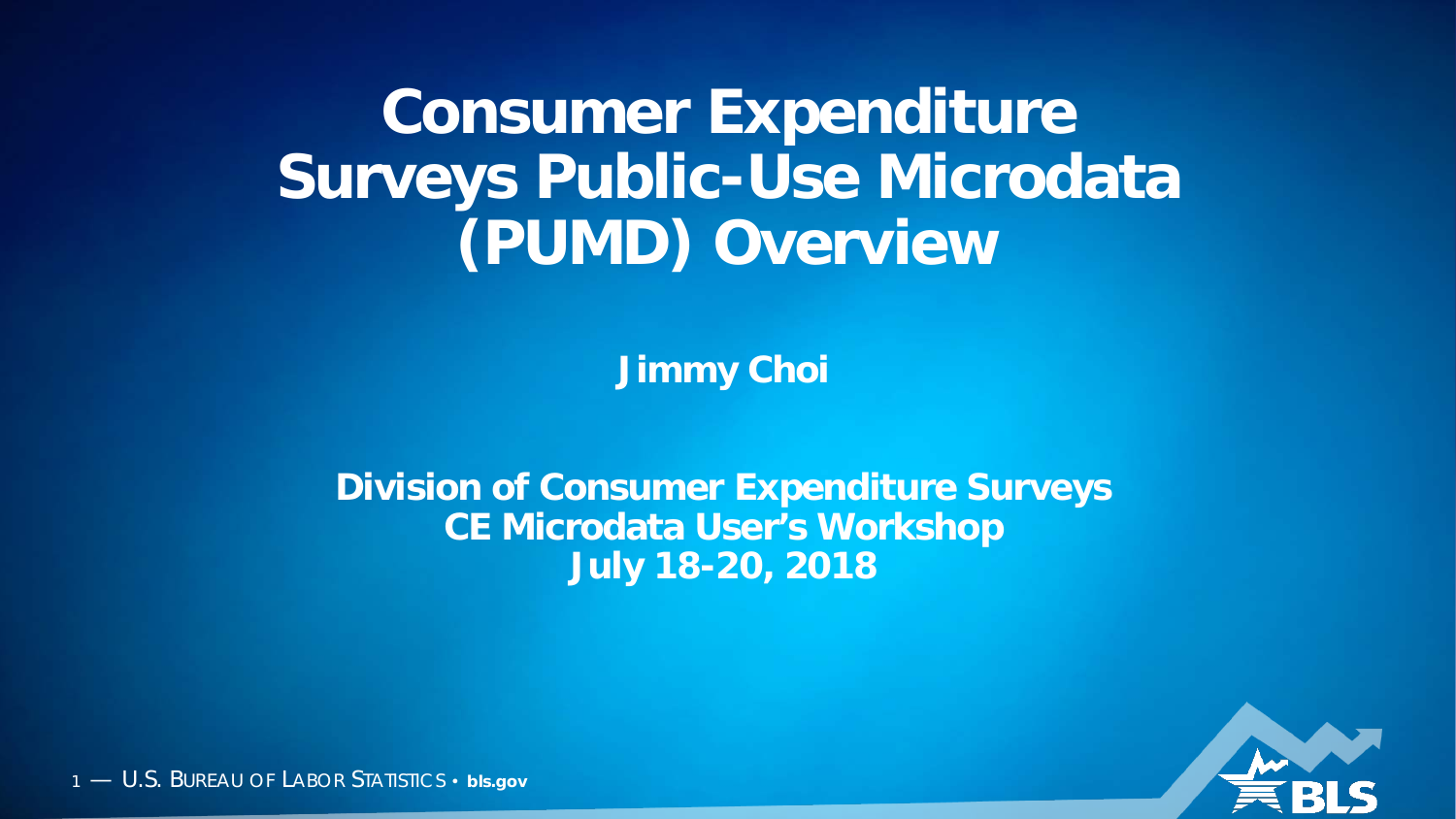#### **Consumer Expenditure Surveys Public-Use Microdata (PUMD) Overview**

**Jimmy Choi**

**Division of Consumer Expenditure Surveys CE Microdata User's Workshop July 18-20, 2018**

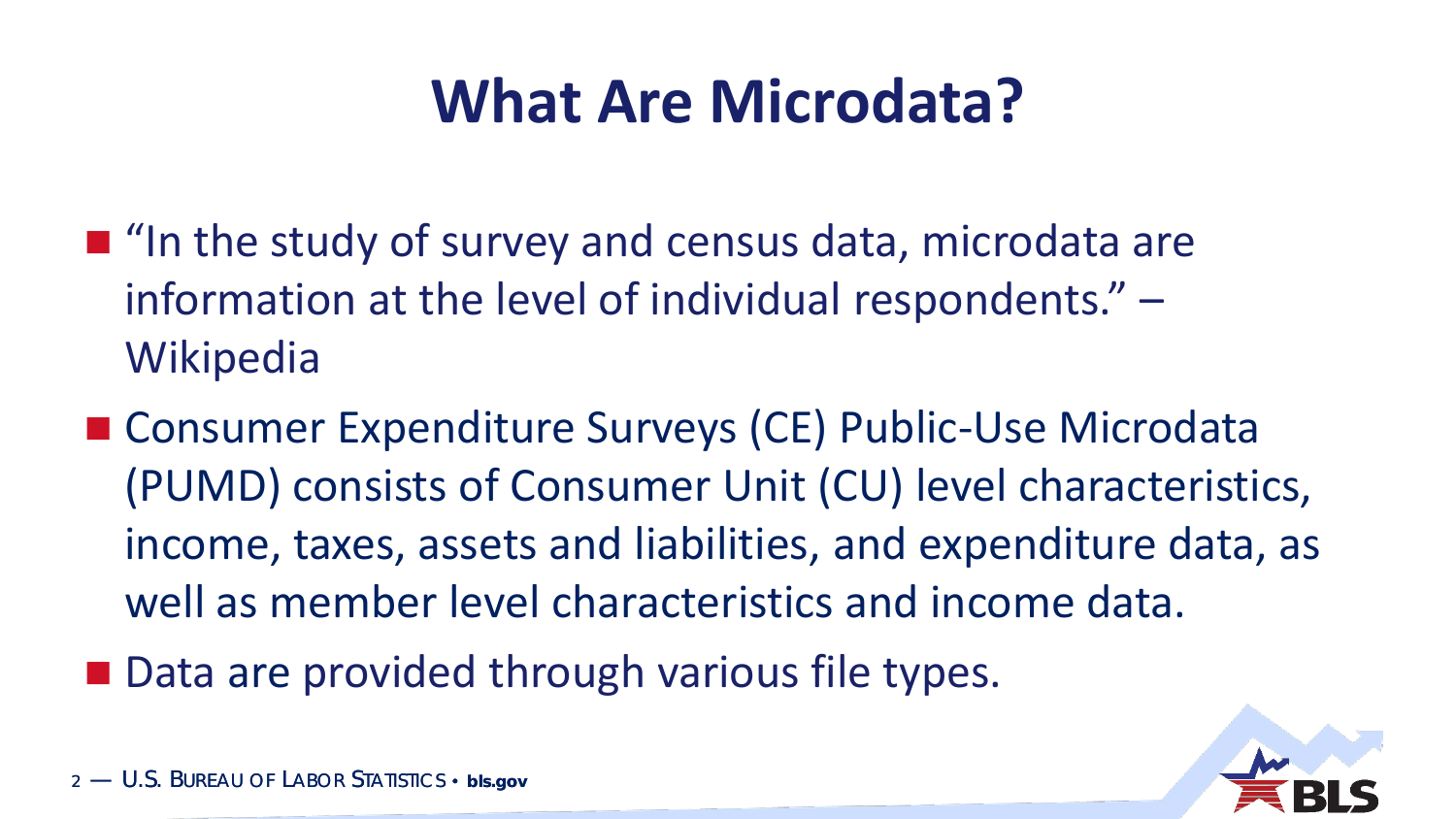## **What Are Microdata?**

- $\blacksquare$  "In the study of survey and census data, microdata are information at the level of individual respondents." – **Wikipedia**
- Consumer Expenditure Surveys (CE) Public-Use Microdata (PUMD) consists of Consumer Unit (CU) level characteristics, income, taxes, assets and liabilities, and expenditure data, as well as member level characteristics and income data.
- Data are provided through various file types.

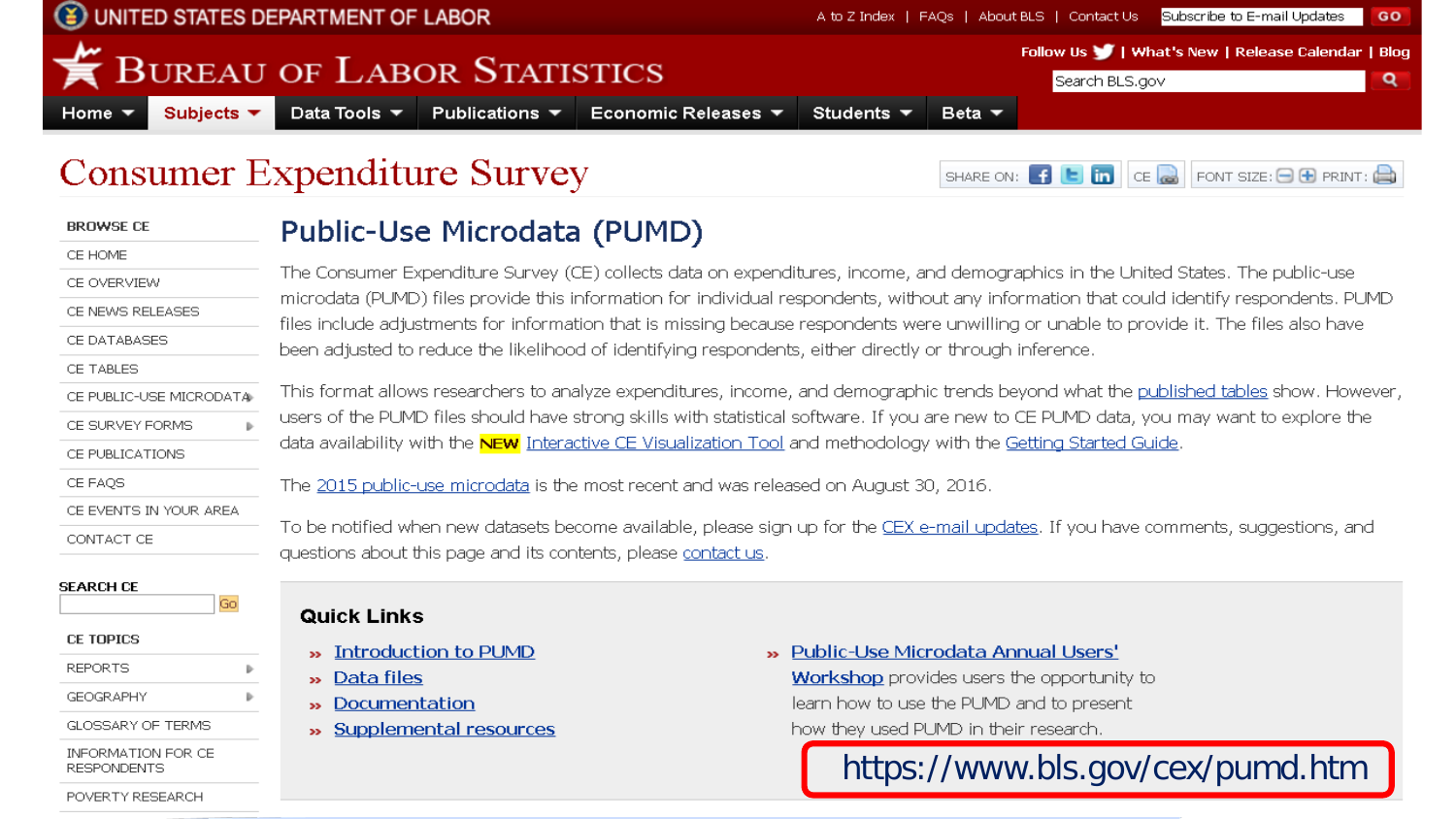

| <b>BROWSE CE</b>                            | Public-Use Microdata (PUMD)                                                                                                                                                                                                                                                                                                                                                                            |                                                                                                                                           |  |  |  |  |  |  |  |  |  |  |
|---------------------------------------------|--------------------------------------------------------------------------------------------------------------------------------------------------------------------------------------------------------------------------------------------------------------------------------------------------------------------------------------------------------------------------------------------------------|-------------------------------------------------------------------------------------------------------------------------------------------|--|--|--|--|--|--|--|--|--|--|
| CE HOME                                     |                                                                                                                                                                                                                                                                                                                                                                                                        |                                                                                                                                           |  |  |  |  |  |  |  |  |  |  |
| CE OVERVIEW                                 | The Consumer Expenditure Survey (CE) collects data on expenditures, income, and demographics in the United States. The public-use<br>microdata (PUMD) files provide this information for individual respondents, without any information that could identify respondents. PUMD                                                                                                                         |                                                                                                                                           |  |  |  |  |  |  |  |  |  |  |
| CE NEWS RELEASES                            |                                                                                                                                                                                                                                                                                                                                                                                                        | files include adjustments for information that is missing because respondents were unwilling or unable to provide it. The files also have |  |  |  |  |  |  |  |  |  |  |
| CE DATABASES                                | been adjusted to reduce the likelihood of identifying respondents, either directly or through inference.                                                                                                                                                                                                                                                                                               |                                                                                                                                           |  |  |  |  |  |  |  |  |  |  |
| CE TABLES                                   |                                                                                                                                                                                                                                                                                                                                                                                                        |                                                                                                                                           |  |  |  |  |  |  |  |  |  |  |
| CE PUBLIC-USE MICRODATA                     | This format allows researchers to analyze expenditures, income, and demographic trends beyond what the published tables show. However,<br>users of the PUMD files should have strong skills with statistical software. If you are new to CE PUMD data, you may want to explore the<br>data availability with the NEW Interactive CE Visualization Tool and methodology with the Getting Started Guide. |                                                                                                                                           |  |  |  |  |  |  |  |  |  |  |
| CE SURVEY FORMS                             |                                                                                                                                                                                                                                                                                                                                                                                                        |                                                                                                                                           |  |  |  |  |  |  |  |  |  |  |
| CE PUBLICATIONS                             |                                                                                                                                                                                                                                                                                                                                                                                                        |                                                                                                                                           |  |  |  |  |  |  |  |  |  |  |
| CE FAQS                                     | The 2015 public-use microdata is the most recent and was released on August 30, 2016.                                                                                                                                                                                                                                                                                                                  |                                                                                                                                           |  |  |  |  |  |  |  |  |  |  |
| CE EVENTS IN YOUR AREA                      |                                                                                                                                                                                                                                                                                                                                                                                                        |                                                                                                                                           |  |  |  |  |  |  |  |  |  |  |
| CONTACT CE                                  | To be notified when new datasets become available, please sign up for the CEX e-mail updates. If you have comments, suggestions, and<br>questions about this page and its contents, please contact us.                                                                                                                                                                                                 |                                                                                                                                           |  |  |  |  |  |  |  |  |  |  |
| <b>SEARCH CE</b><br>Gol<br><b>CE TOPICS</b> | <b>Quick Links</b><br><b>»</b> Introduction to PUMD                                                                                                                                                                                                                                                                                                                                                    | » Public-Use Microdata Annual Users'                                                                                                      |  |  |  |  |  |  |  |  |  |  |
| <b>REPORTS</b>                              | » Data files                                                                                                                                                                                                                                                                                                                                                                                           | <b>Workshop</b> provides users the opportunity to                                                                                         |  |  |  |  |  |  |  |  |  |  |
| <b>GEOGRAPHY</b>                            | » Documentation                                                                                                                                                                                                                                                                                                                                                                                        | learn how to use the PUMD and to present                                                                                                  |  |  |  |  |  |  |  |  |  |  |
| <b>GLOSSARY OF TERMS</b>                    | » Supplemental resources                                                                                                                                                                                                                                                                                                                                                                               | how they used PUMD in their research.                                                                                                     |  |  |  |  |  |  |  |  |  |  |
| INFORMATION FOR CE<br>RESPONDENTS           |                                                                                                                                                                                                                                                                                                                                                                                                        | https://www.bls.gov/cex/pumd.htm                                                                                                          |  |  |  |  |  |  |  |  |  |  |
| POVERTY RESEARCH                            |                                                                                                                                                                                                                                                                                                                                                                                                        |                                                                                                                                           |  |  |  |  |  |  |  |  |  |  |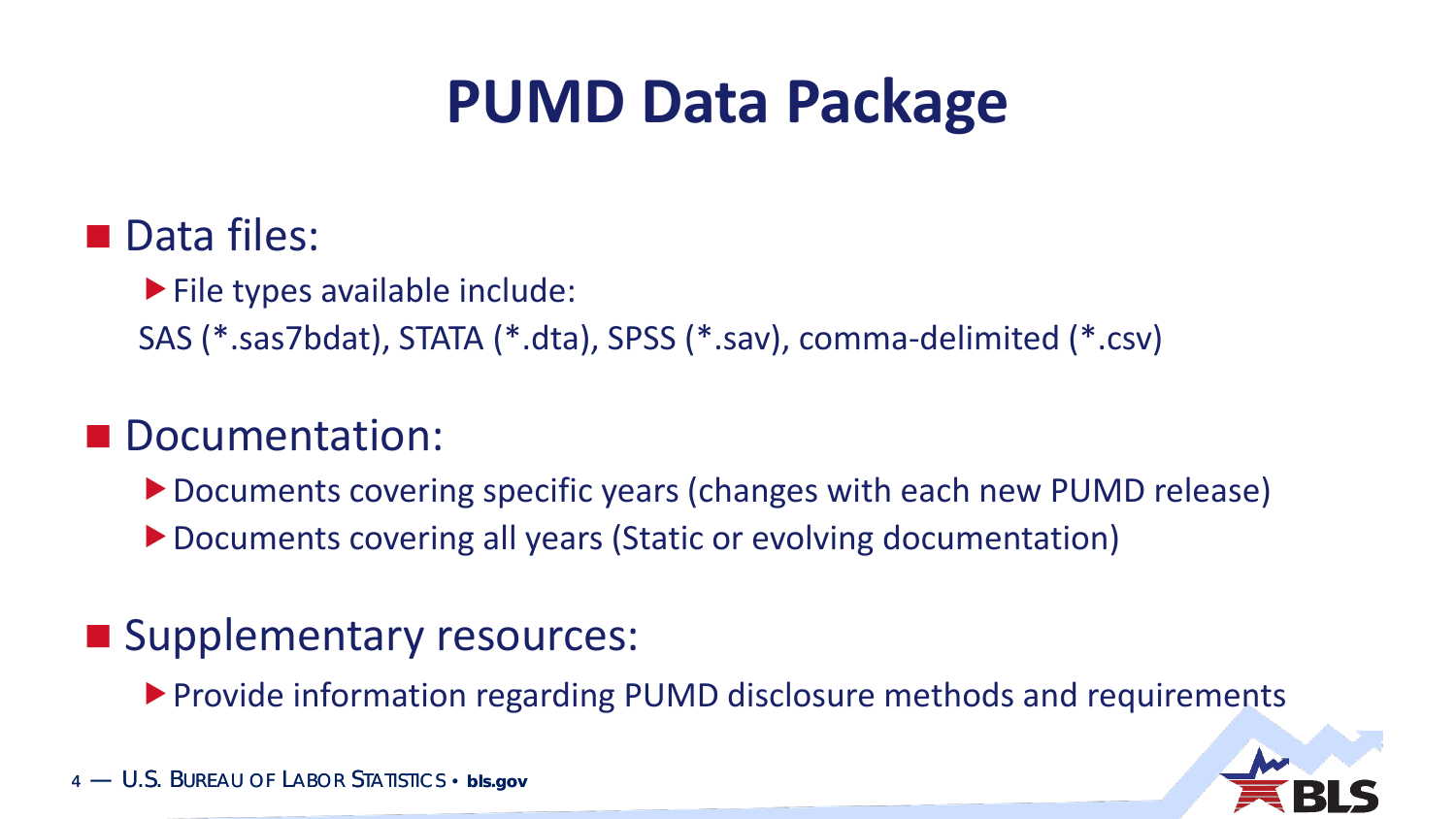### **PUMD Data Package**

#### Data files:

**File types available include:** 

SAS (\*.sas7bdat), STATA (\*.dta), SPSS (\*.sav), comma-delimited (\*.csv)

#### Documentation:

- ▶ Documents covering specific years (changes with each new PUMD release)
- ▶ Documents covering all years (Static or evolving documentation)

#### **Supplementary resources:**

Provide information regarding PUMD disclosure methods and requirements

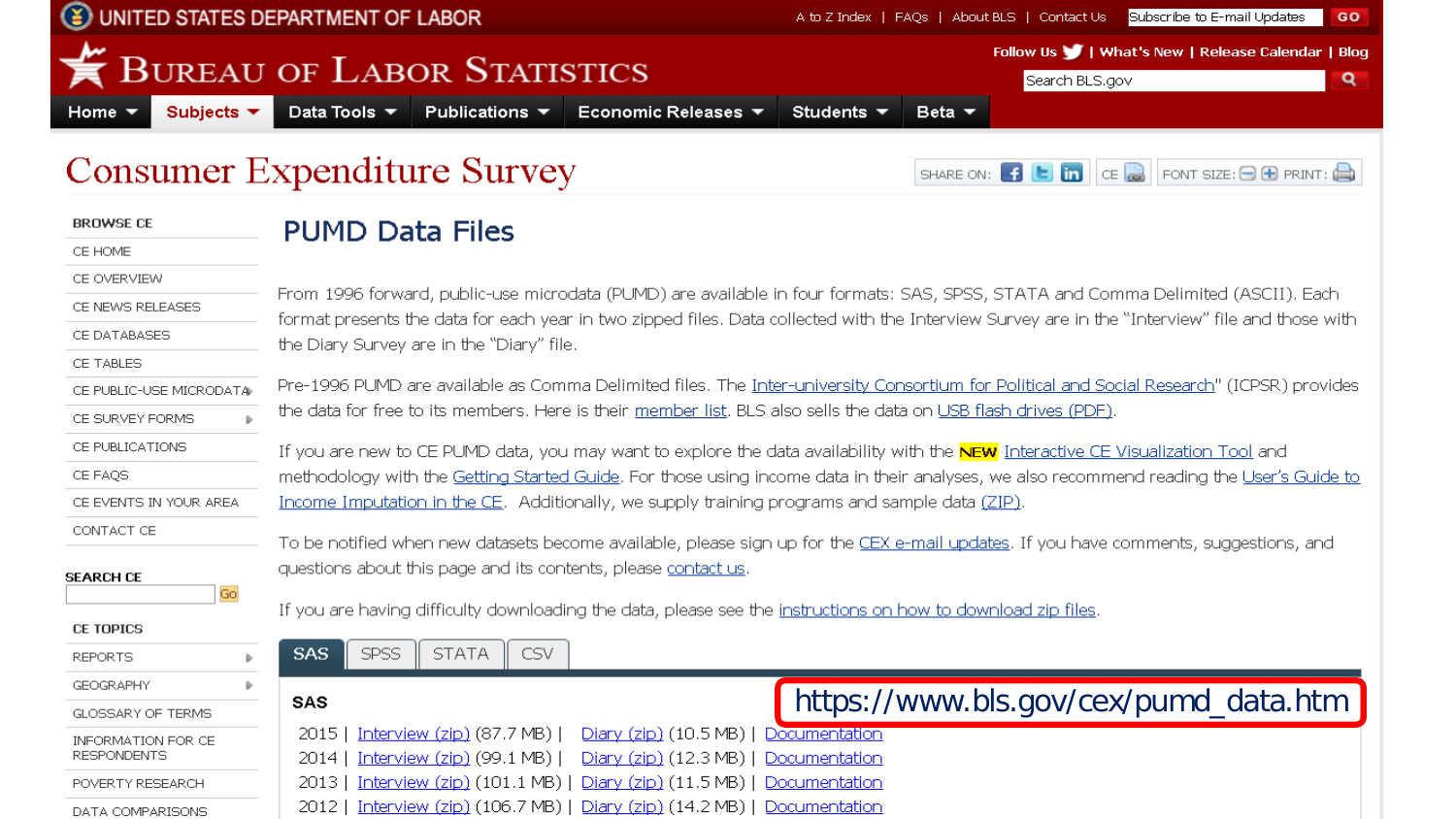

|                                          | $\sim$ 0.110 cannon interpretation $\sim$ 0.2.10 $\sim$ 7                                                                                                                                                                                                                           |  |  |  |  |  |  |  |  |
|------------------------------------------|-------------------------------------------------------------------------------------------------------------------------------------------------------------------------------------------------------------------------------------------------------------------------------------|--|--|--|--|--|--|--|--|
| <b>BROWSE CE</b>                         | <b>PUMD Data Files</b>                                                                                                                                                                                                                                                              |  |  |  |  |  |  |  |  |
| CE HOME                                  |                                                                                                                                                                                                                                                                                     |  |  |  |  |  |  |  |  |
| CE OVERVIEW                              |                                                                                                                                                                                                                                                                                     |  |  |  |  |  |  |  |  |
| CE NEWS RELEASES                         | From 1996 forward, public-use microdata (PUMD) are available in four formats: SAS, SPSS, STATA and Comma Delimited (ASCII). Each<br>format presents the data for each year in two zipped files. Data collected with the Interview Survey are in the "Interview" file and those with |  |  |  |  |  |  |  |  |
| CE DATABASES                             | the Diary Survey are in the "Diary" file.                                                                                                                                                                                                                                           |  |  |  |  |  |  |  |  |
| CE TABLES                                |                                                                                                                                                                                                                                                                                     |  |  |  |  |  |  |  |  |
| CE PUBLIC-USE MICRODATA                  | Pre-1996 PUMD are available as Comma Delimited files. The Inter-university Consortium for Political and Social Research" (ICPSR) provides                                                                                                                                           |  |  |  |  |  |  |  |  |
| CE SURVEY FORMS                          | the data for free to its members. Here is their member list. BLS also sells the data on USB flash drives (PDF).                                                                                                                                                                     |  |  |  |  |  |  |  |  |
| CE PUBLICATIONS                          | If you are new to CE PUMD data, you may want to explore the data availability with the NEW Interactive CE Visualization Tool and                                                                                                                                                    |  |  |  |  |  |  |  |  |
| CE FAOS                                  | methodology with the Getting Started Guide. For those using income data in their analyses, we also recommend reading the User's Guide to                                                                                                                                            |  |  |  |  |  |  |  |  |
| CE EVENTS IN YOUR AREA                   | Income Imputation in the CE. Additionally, we supply training programs and sample data (ZIP).                                                                                                                                                                                       |  |  |  |  |  |  |  |  |
| CONTACT CE                               | To be notified when new datasets become available, please sign up for the CEX e-mail updates. If you have comments, suggestions, and                                                                                                                                                |  |  |  |  |  |  |  |  |
| SEARCH CE                                | questions about this page and its contents, please contact us.                                                                                                                                                                                                                      |  |  |  |  |  |  |  |  |
| Go                                       | If you are having difficulty downloading the data, please see the instructions on how to download zip files.                                                                                                                                                                        |  |  |  |  |  |  |  |  |
| <b>CE TOPICS</b>                         |                                                                                                                                                                                                                                                                                     |  |  |  |  |  |  |  |  |
| <b>REPORTS</b>                           | SPSS<br><b>STATA</b><br>CSV<br><b>SAS</b>                                                                                                                                                                                                                                           |  |  |  |  |  |  |  |  |
| <b>GEOGRAPHY</b>                         |                                                                                                                                                                                                                                                                                     |  |  |  |  |  |  |  |  |
| GLOSSARY OF TERMS                        | https://www.bls.gov/cex/pumd_data.htm<br><b>SAS</b>                                                                                                                                                                                                                                 |  |  |  |  |  |  |  |  |
| INFORMATION FOR CE<br><b>RESPONDENTS</b> | Diary (zip) (10.5 MB)   Documentation<br>Interview $(zip)$ (87.7 MB)<br>2015<br>Interview $(zip)$ (99.1 MB) $\vert$<br>Diary (zip) (12.3 MB)   Documentation<br>2014                                                                                                                |  |  |  |  |  |  |  |  |
| POVERTY RESEARCH                         | Interview (zip) (101.1 MB)   Diary (zip) (11.5 MB)   Documentation<br>2013                                                                                                                                                                                                          |  |  |  |  |  |  |  |  |
| DATA COMPARISONS.                        | Interview (zip) (106.7 MB)   Diary (zip) (14.2 MB)   Documentation<br>2012                                                                                                                                                                                                          |  |  |  |  |  |  |  |  |

DATA COMPARISONS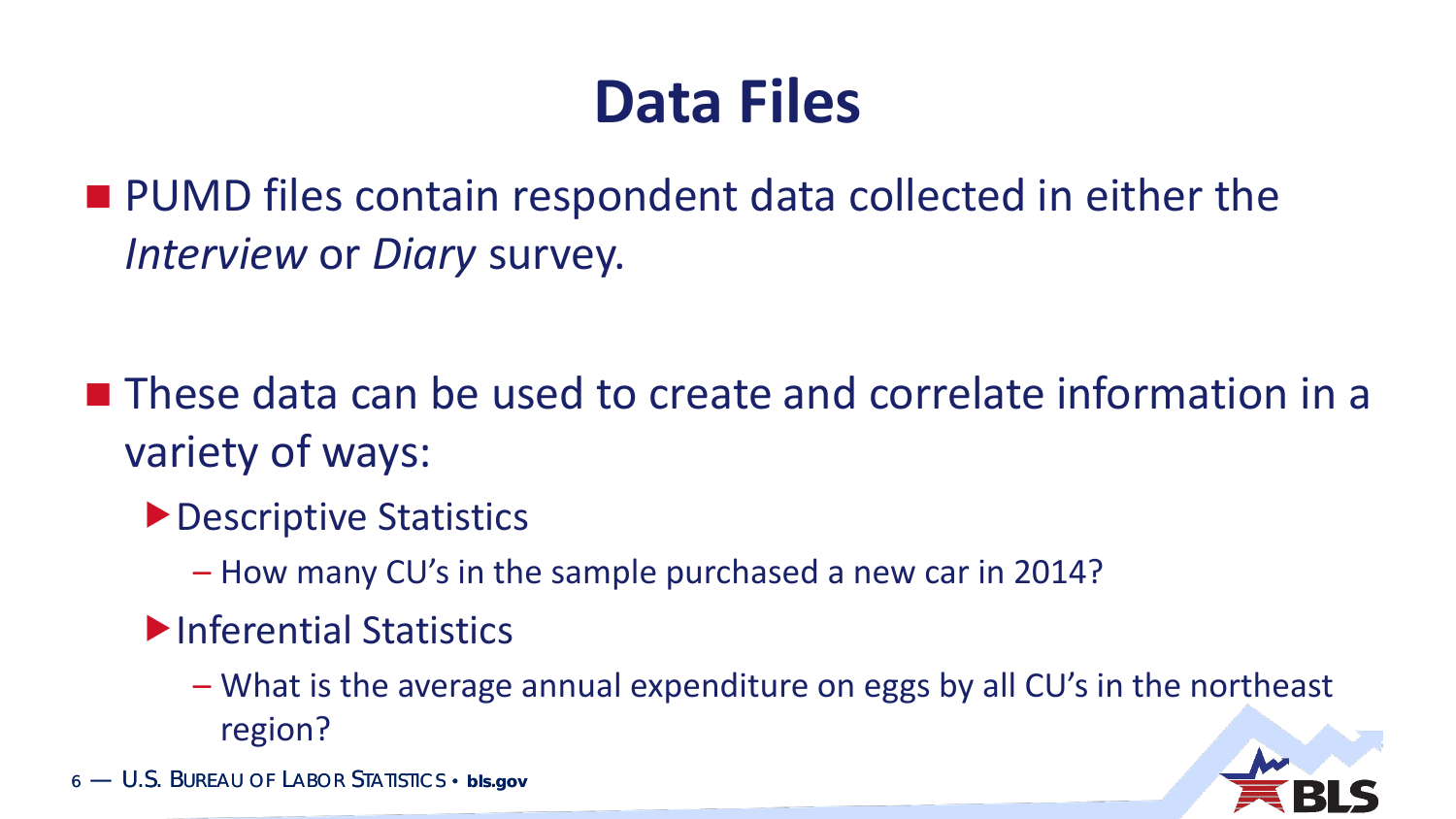### **Data Files**

**PUMD** files contain respondent data collected in either the *Interview* or *Diary* survey.

■ These data can be used to create and correlate information in a variety of ways:

- ▶ Descriptive Statistics
	- How many CU's in the sample purchased a new car in 2014?
- Inferential Statistics
	- What is the average annual expenditure on eggs by all CU's in the northeast region?

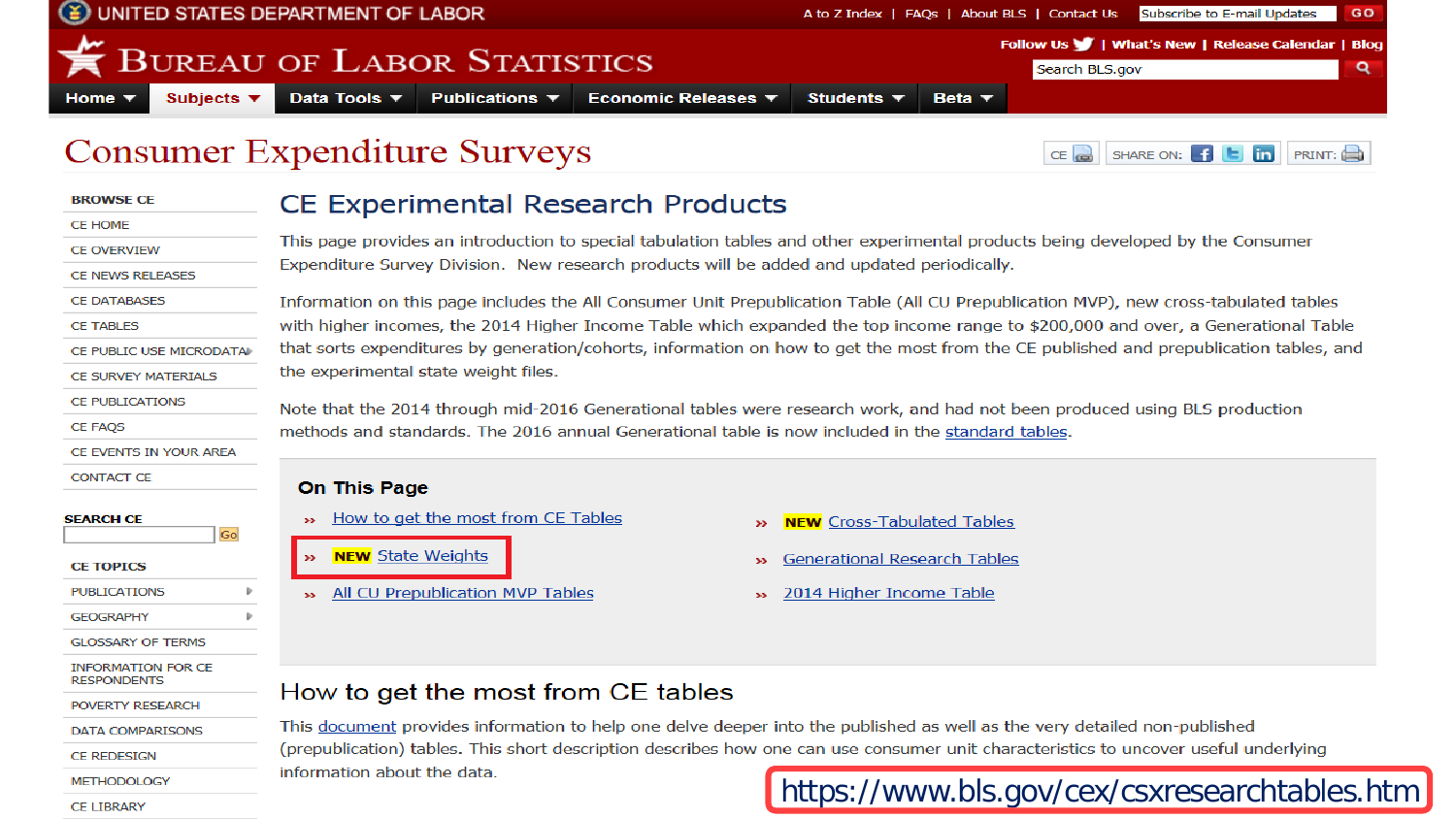

#### **CE Experimental Research Products**

This page provides an introduction to special tabulation tables and other experimental products being developed by the Consumer Expenditure Survey Division. New research products will be added and updated periodically.

Information on this page includes the All Consumer Unit Prepublication Table (All CU Prepublication MVP), new cross-tabulated tables with higher incomes, the 2014 Higher Income Table which expanded the top income range to \$200,000 and over, a Generational Table that sorts expenditures by generation/cohorts, information on how to get the most from the CE published and prepublication tables, and the experimental state weight files.

Note that the 2014 through mid-2016 Generational tables were research work, and had not been produced using BLS production methods and standards. The 2016 annual Generational table is now included in the standard tables.

#### **On This Page**

- How to get the most from CE Tables
- **NEW** State Weights
- All CU Prepublication MVP Tables  $33<sup>°</sup>$
- **NEW** Cross-Tabulated Tables  $\rightarrow$
- **Generational Research Tables**  $\rightarrow$
- 2014 Higher Income Table  $\mathbf{p}$

#### How to get the most from CE tables

This document provides information to help one delve deeper into the published as well as the very detailed non-published (prepublication) tables. This short description describes how one can use consumer unit characteristics to uncover useful underlying information about the data.

#### https://www.bls.gov/cex/csxresearchtables.htm

#### **CE LIBRARY**

**CE REDESIGN** 

**METHODOLOGY** 

**BROWSE CE CE HOME** 

**CE OVERVIEW** 

**CE TABLES** 

**CE FAQS** 

**CONTACT CE** 

**SEARCH CE** 

**CE TOPICS PUBLICATIONS** 

**GEOGRAPHY** 

**GLOSSARY OF TERMS INFORMATION FOR CE RESPONDENTS** 

POVERTY RESEARCH

DATA COMPARISONS

**CE NEWS RELEASES CE DATABASES** 

CE PUBLIC USE MICRODATA

CE SURVEY MATERIALS **CE PUBLICATIONS** 

CE EVENTS IN YOUR AREA

Go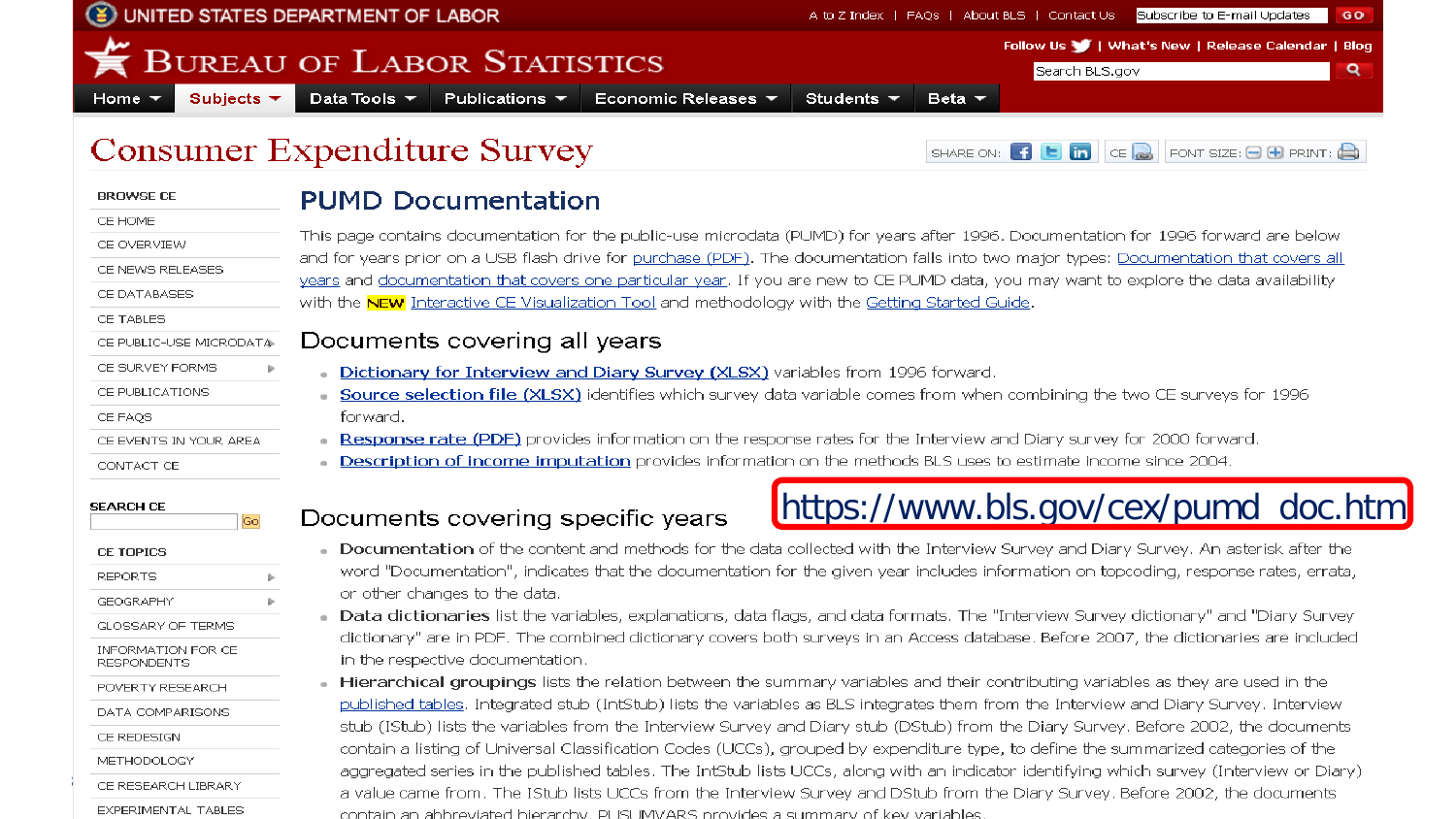|                                                                                                                                                                                             | UNITED STATES DEPARTMENT OF LABOR<br>Subscribe to E-mail Updates<br>A to Z Index   FAQs   About BLS   Contact Us<br>GO                                                                                                                                                                                                                                                                                                                                                                                                                                                                                                                                                                                                                                                                                                                                                                                                                                                                                                             |  |  |  |  |  |  |  |  |  |  |
|---------------------------------------------------------------------------------------------------------------------------------------------------------------------------------------------|------------------------------------------------------------------------------------------------------------------------------------------------------------------------------------------------------------------------------------------------------------------------------------------------------------------------------------------------------------------------------------------------------------------------------------------------------------------------------------------------------------------------------------------------------------------------------------------------------------------------------------------------------------------------------------------------------------------------------------------------------------------------------------------------------------------------------------------------------------------------------------------------------------------------------------------------------------------------------------------------------------------------------------|--|--|--|--|--|--|--|--|--|--|
| Subjects $\blacktriangledown$<br>Home:                                                                                                                                                      | Follow Us     What's New   Release Calendar   Blog<br><b>BUREAU OF LABOR STATISTICS</b><br>Q<br>Search BLS.gov<br>Data Tools $\blacktriangledown$<br>Publications $\blacktriangledown$<br>Economic Releases ▼<br>Students $\blacktriangledown$<br>Beta $\blacktriangledown$                                                                                                                                                                                                                                                                                                                                                                                                                                                                                                                                                                                                                                                                                                                                                        |  |  |  |  |  |  |  |  |  |  |
|                                                                                                                                                                                             | <b>Consumer Expenditure Survey</b><br>SHARE ON: $\begin{bmatrix} 1 \\ 1 \end{bmatrix}$ $\begin{bmatrix} 1 \\ 1 \end{bmatrix}$ $\begin{bmatrix} 1 \\ 1 \end{bmatrix}$ $\begin{bmatrix} 1 \\ 1 \end{bmatrix}$ $\begin{bmatrix} 1 \\ 1 \end{bmatrix}$ $\begin{bmatrix} 1 \\ 1 \end{bmatrix}$ $\begin{bmatrix} 1 \\ 1 \end{bmatrix}$ $\begin{bmatrix} 1 \\ 1 \end{bmatrix}$ $\begin{bmatrix} 1 \\ 1 \end{bmatrix}$ $\begin{bmatrix} 1 \\ 1 \end{bmatrix}$ $\begin{bmatrix} 1 \\ $                                                                                                                                                                                                                                                                                                                                                                                                                                                                                                                                                      |  |  |  |  |  |  |  |  |  |  |
| <b>BROWSE CE</b>                                                                                                                                                                            | <b>PUMD Documentation</b>                                                                                                                                                                                                                                                                                                                                                                                                                                                                                                                                                                                                                                                                                                                                                                                                                                                                                                                                                                                                          |  |  |  |  |  |  |  |  |  |  |
| CE HOME<br>CE OVERVIEW<br>CE NEWS RELEASES<br>CE DATABASES<br>CE TABLES<br>CE PUBLIC-USE MICRODATA<br>CE SURVEY FORMS<br>CE PUBLICATIONS<br>CE FAOS<br>CE EVENTS IN YOUR AREA<br>CONTACT CE | This page contains documentation for the public-use microdata (PUMD) for years after 1996. Documentation for 1996 forward are below<br>and for years prior on a USB flash drive for purchase (PDF). The documentation falls into two major types: Documentation that covers all<br>years and documentation that covers one particular year. If you are new to CE PUMD data, you may want to explore the data availability<br>with the <b>NEW</b> Interactive CE Visualization Tool and methodology with the Getting Started Guide.<br>Documents covering all years<br>Dictionary for Interview and Diary Survey (XLSX) variables from 1996 forward.<br>Source selection file (XLSX) identifies which survey data variable comes from when combining the two CE surveys for 1996<br>forward.<br>Response rate (PDF) provides information on the response rates for the Interview and Diary survey for 2000 forward.<br>Description of income imputation provides information on the methods BLS uses to estimate income since 2004. |  |  |  |  |  |  |  |  |  |  |
| <b>SEARCH CE</b><br>Go                                                                                                                                                                      | https://www.bls.gov/cex/pumd_doc.htr<br>Documents covering specific years                                                                                                                                                                                                                                                                                                                                                                                                                                                                                                                                                                                                                                                                                                                                                                                                                                                                                                                                                          |  |  |  |  |  |  |  |  |  |  |
| <b>CE TOPICS</b><br><b>REPORTS</b><br><b>GEOGRAPHY</b><br><b>GLOSSARY OF TERMS</b>                                                                                                          | Documentation of the content and methods for the data collected with the Interview Survey and Diary Survey. An asterisk after the<br>word "Documentation", indicates that the documentation for the given year includes information on topcoding, response rates, errata,<br>or other changes to the data.<br>Data dictionaries list the variables, explanations, data flags, and data formats. The "Interview Survey dictionary" and "Diary Survey<br>dictionary" are in PDE. The combined dictionary covers both surveys in an Access database. Before 2007, the dictionaries are included                                                                                                                                                                                                                                                                                                                                                                                                                                       |  |  |  |  |  |  |  |  |  |  |

INFORMATION FOR CE **RESPONDENTS** 

POVERTY RESEARCH

DATA COMPARISONS

CE REDESIGN

**METHODOLOGY** 

CE RESEARCH LIBRARY

EXPERIMENTAL TABLES

- εyε in the respective documentation.
- Hierarchical groupings lists the relation between the summary variables and their contributing variables as they are used in the published tables. Integrated stub (IntStub) lists the variables as BLS integrates them from the Interview and Diary Survey. Interview stub (IStub) lists the variables from the Interview Survey and Diary stub (DStub) from the Diary Survey. Before 2002, the documents contain a listing of Universal Classification Codes (UCCs), grouped by expenditure type, to define the summarized categories of the aggregated series in the published tables. The IntStub lists UCCs, along with an indicator identifying which survey (Interview or Diary) a value came from. The IStub lists UCCs from the Interview Survey and DStub from the Diary Survey. Before 2002, the documents contain an abbreviated bierarchy. PLISLIMVARS provides a summary of key variables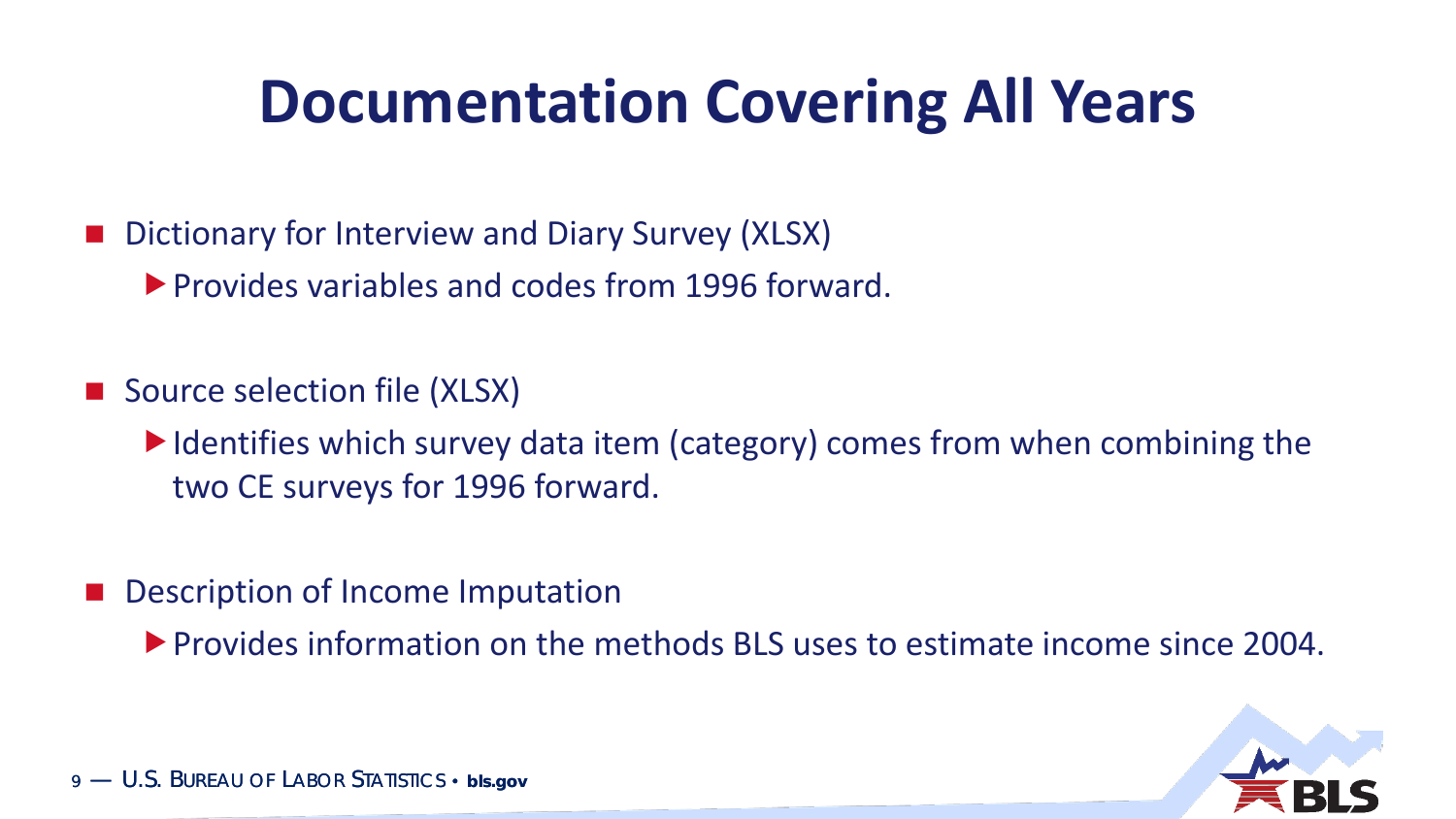### **Documentation Covering All Years**

- Dictionary for Interview and Diary Survey (XLSX)
	- **Provides variables and codes from 1996 forward.**
- Source selection file (XLSX)
	- I Identifies which survey data item (category) comes from when combining the two CE surveys for 1996 forward.
- Description of Income Imputation
	- **Provides information on the methods BLS uses to estimate income since 2004.**

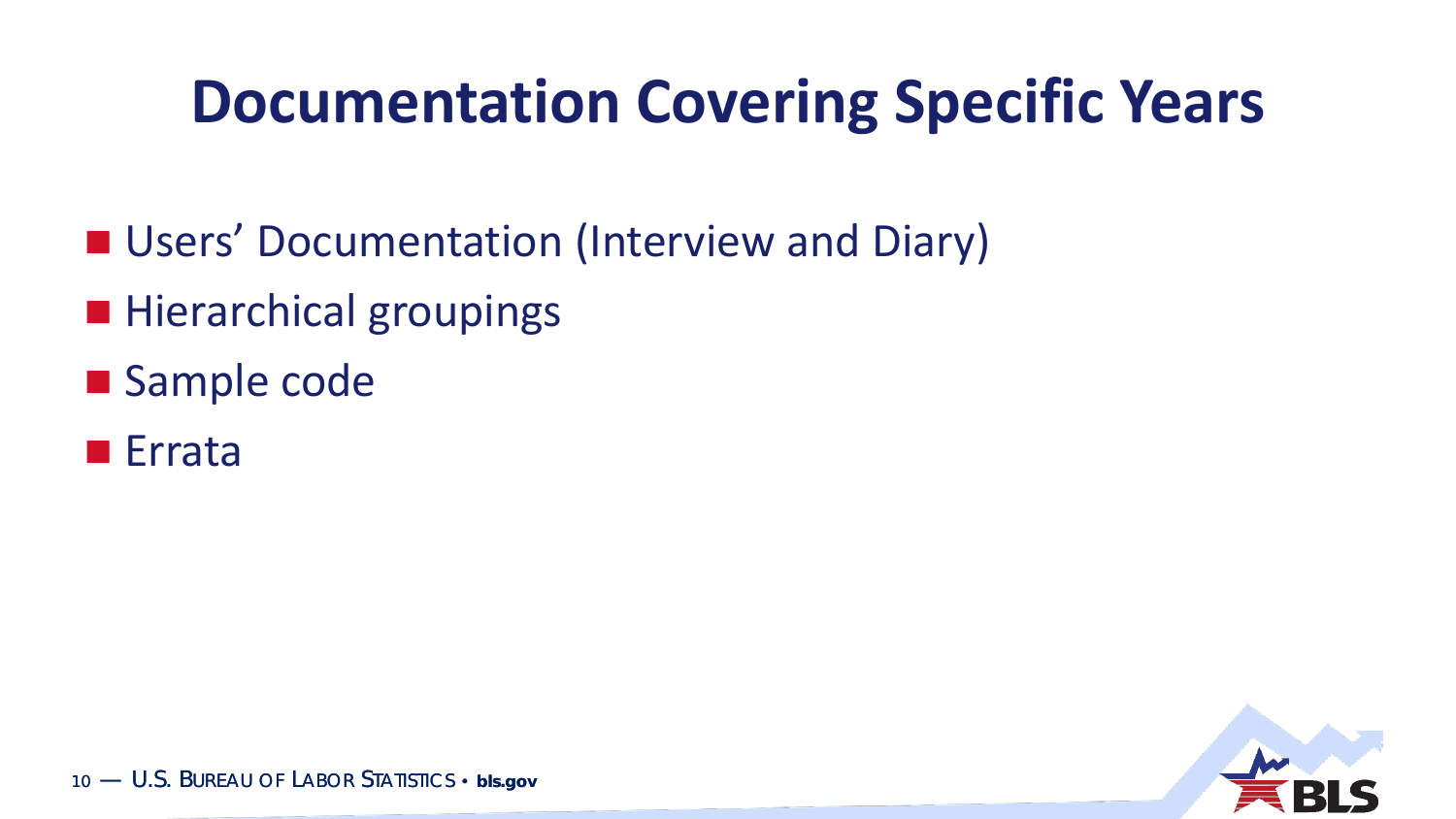### **Documentation Covering Specific Years**

- **Users' Documentation (Interview and Diary)**
- **Hierarchical groupings**
- **Sample code**
- Errata

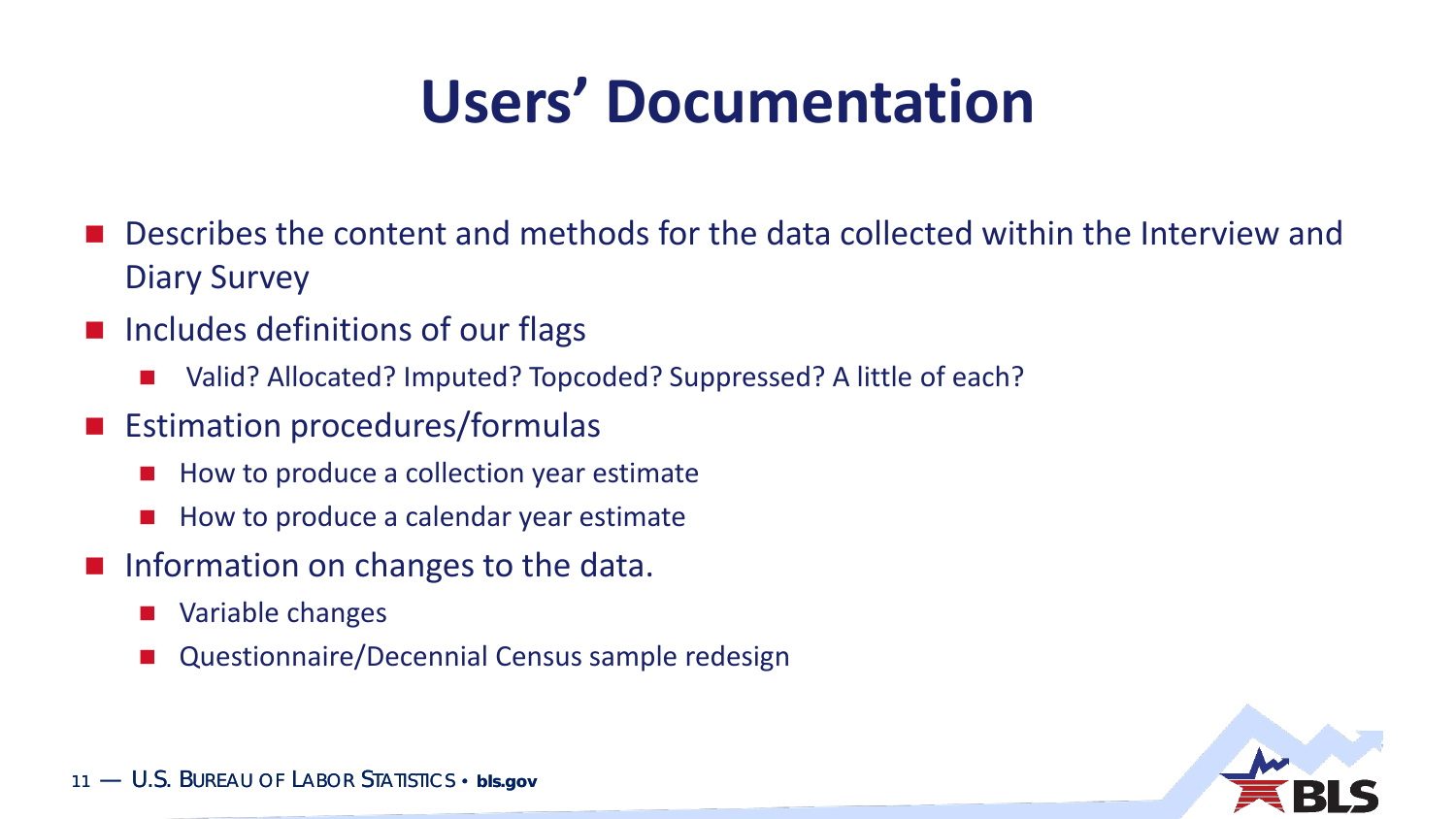## **Users' Documentation**

- Describes the content and methods for the data collected within the Interview and Diary Survey
- $\blacksquare$  Includes definitions of our flags
	- Valid? Allocated? Imputed? Topcoded? Suppressed? A little of each?
- **Extimation procedures/formulas** 
	- How to produce a collection year estimate
	- **How to produce a calendar year estimate**
- Information on changes to the data.
	- Variable changes
	- Questionnaire/Decennial Census sample redesign

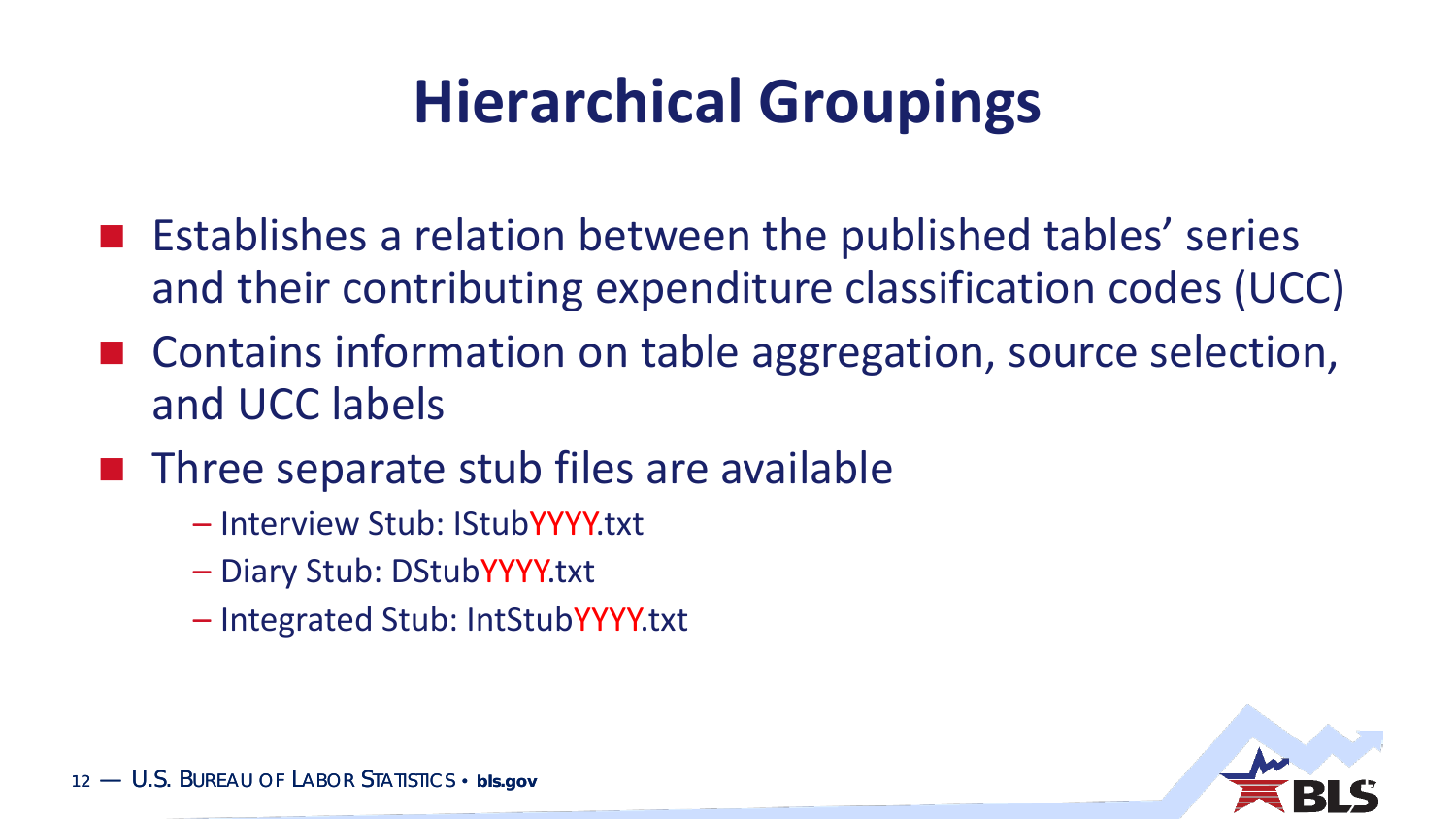# **Hierarchical Groupings**

- **E** Establishes a relation between the published tables' series and their contributing expenditure classification codes (UCC)
- Contains information on table aggregation, source selection, and UCC labels
- Three separate stub files are available
	- Interview Stub: IStubYYYY.txt
	- Diary Stub: DStubYYYY.txt
	- Integrated Stub: IntStubYYYY.txt

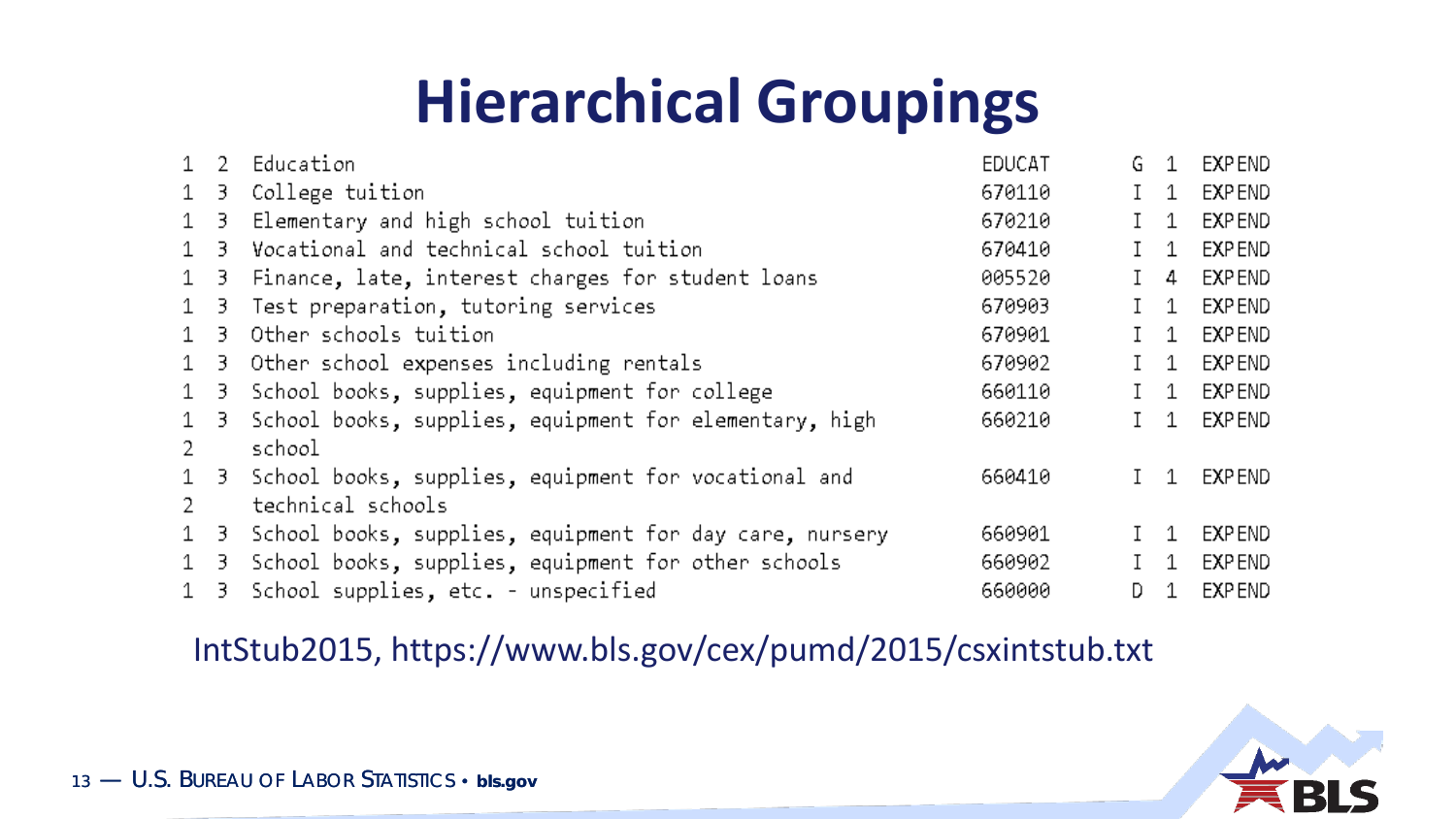## **Hierarchical Groupings**

|              |    | 1 2 Education                                            | EDUCAT | G.           | 1         | EXP END |
|--------------|----|----------------------------------------------------------|--------|--------------|-----------|---------|
| 1            |    | 3 College tuition                                        | 670110 | $\mathsf{L}$ | 1         | EXP END |
| 1            | 3. | Elementary and high school tuition                       | 670210 |              | 1         | EXP END |
| $\mathbf 1$  | 3. | Vocational and technical school tuition                  | 670410 |              | 1         | EXP END |
| $\mathbf 1$  |    | 3 Finance, late, interest charges for student loans      | 005520 |              | 4         | EXP END |
| $\mathbf{1}$ | 3. | Test preparation, tutoring services                      | 670903 |              | 1         | EXP END |
| $\mathbf{1}$ | 3. | Other schools tuition                                    | 670901 |              | 1         | EXP END |
| $\mathbf 1$  |    | 3 Other school expenses including rentals                | 670902 |              | 1         | EXP END |
| 1            | 3. | School books, supplies, equipment for college            | 660110 |              | 1         | EXP END |
| $\mathbf{1}$ | 3. | School books, supplies, equipment for elementary, high   | 660210 |              | 1         | EXP END |
| 2            |    | school                                                   |        |              |           |         |
|              |    | 1 3 School books, supplies, equipment for vocational and | 660410 |              | $1\quad1$ | EXP END |
| 2            |    | technical schools                                        |        |              |           |         |
| $\mathbf 1$  | 3. | School books, supplies, equipment for day care, nursery  | 660901 | $\mathbf{I}$ | 1         | EXP END |
| 1            | 3. | School books, supplies, equipment for other schools      | 660902 |              | 1         | EXP END |
| $\mathbf{1}$ |    | 3 School supplies, etc. - unspecified                    | 660000 | D.           | 1         | EXP END |

#### IntStub2015, https://www.bls.gov/cex/pumd/2015/csxintstub.txt

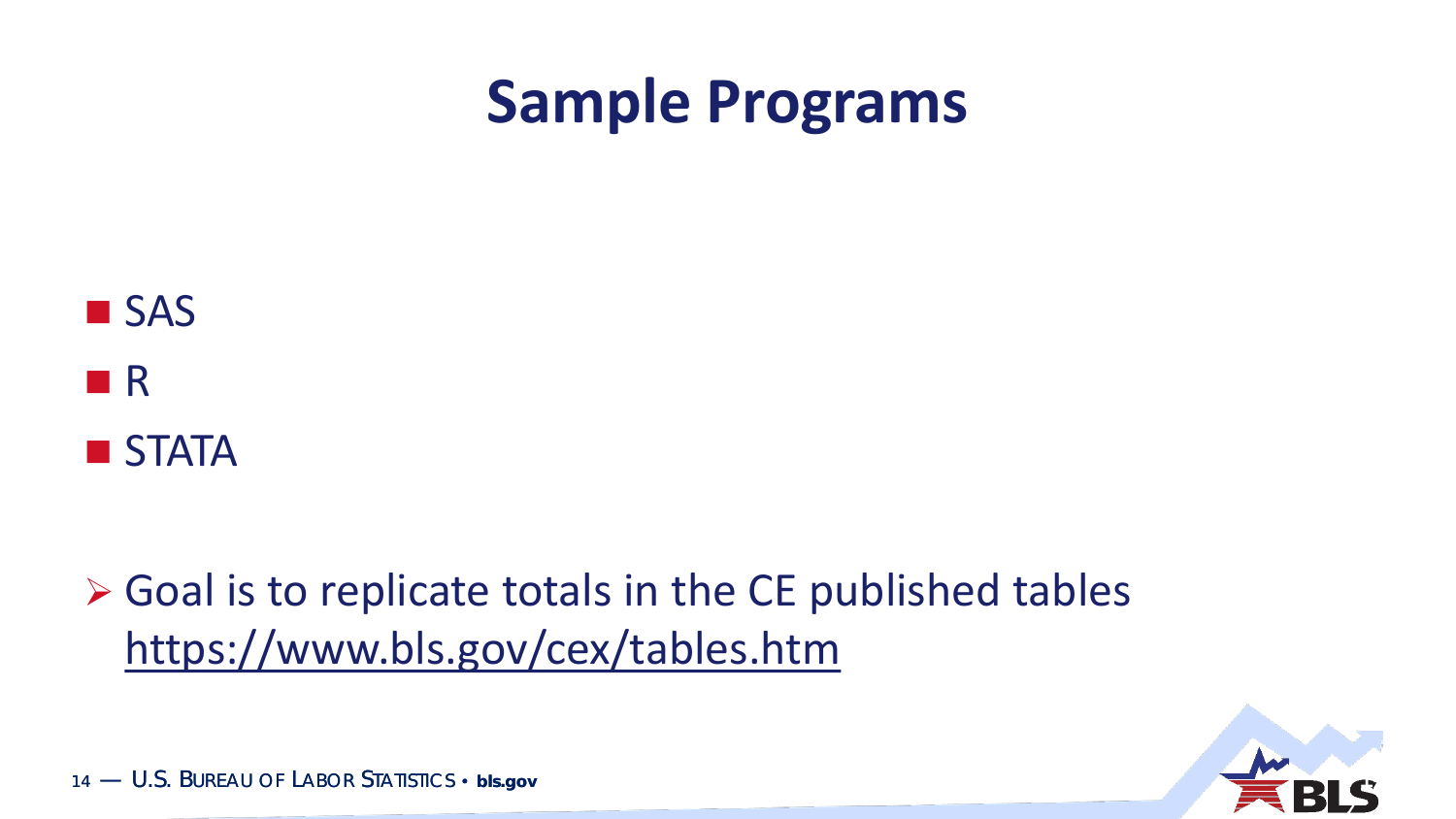#### **Sample Programs**



 $\triangleright$  Goal is to replicate totals in the CE published tables https://www.bls.gov/cex/tables.htm

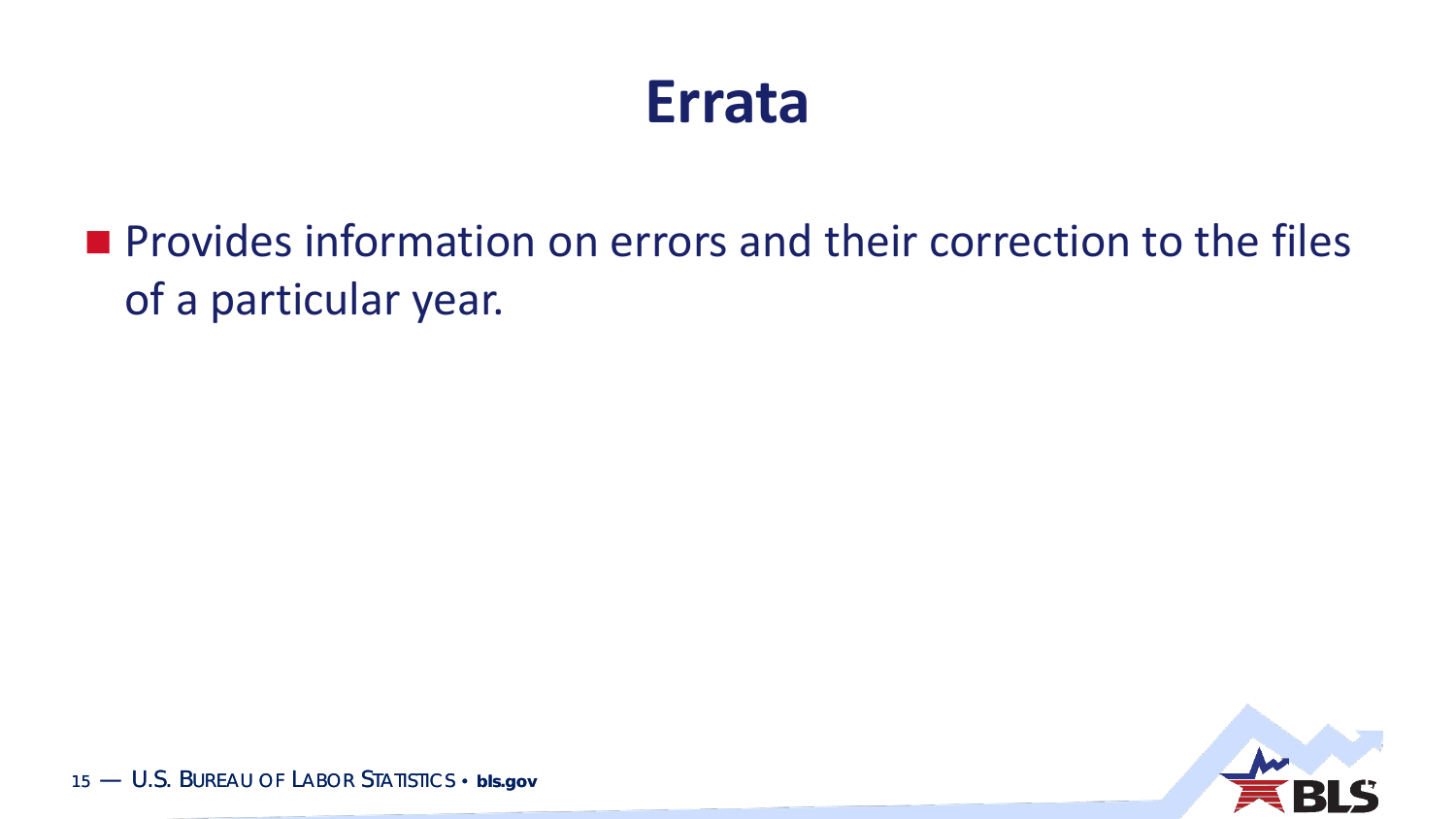#### **Errata**

**Provides information on errors and their correction to the files** of a particular year.

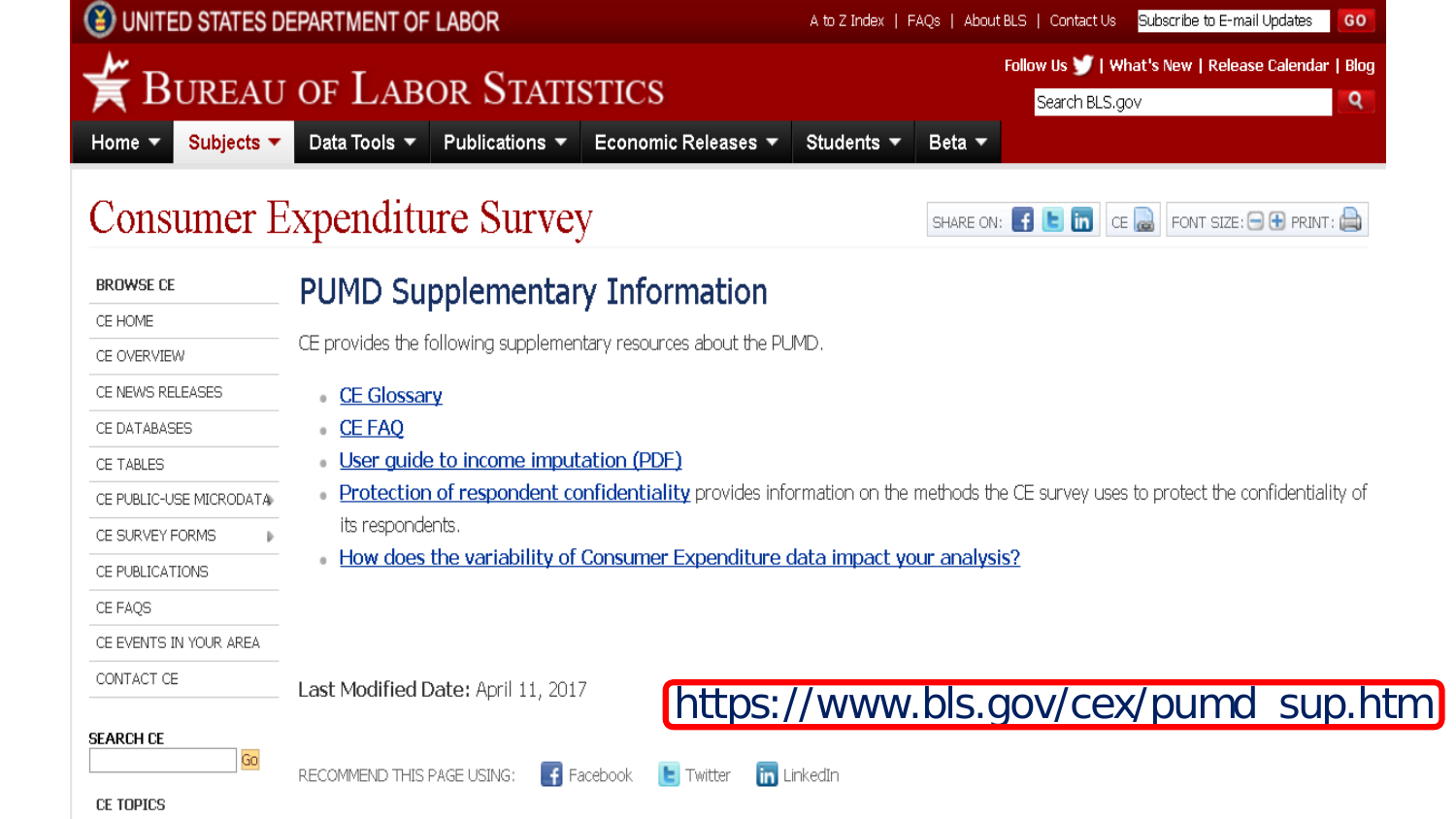|                                                            | UNITED STATES DEPARTMENT OF LABOR<br>Subscribe to E-mail Updates<br>A to Z Index   FAQs   About BLS   Contact Us  <br>GO                                                                                                                                                                                                                                                                                                                                               |
|------------------------------------------------------------|------------------------------------------------------------------------------------------------------------------------------------------------------------------------------------------------------------------------------------------------------------------------------------------------------------------------------------------------------------------------------------------------------------------------------------------------------------------------|
|                                                            | Follow Us     What's New   Release Calendar   Blog<br><b>BUREAU OF LABOR STATISTICS</b><br>Q<br>Search BLS.gov                                                                                                                                                                                                                                                                                                                                                         |
| Subjects $\blacktriangledown$<br>Home $\blacktriangledown$ | Data Tools $\blacktriangledown$<br>Publications $\blacktriangledown$<br>Economic Releases ▼<br>Students $\blacktriangledown$<br>Beta $\blacktriangledown$                                                                                                                                                                                                                                                                                                              |
|                                                            | Consumer Expenditure Survey<br>SHARE ON: $\begin{bmatrix} 1 \\ 1 \end{bmatrix}$ $\begin{bmatrix} 1 \\ 0 \end{bmatrix}$ $\begin{bmatrix} 1 \\ 0 \end{bmatrix}$ $\begin{bmatrix} 1 \\ 0 \end{bmatrix}$ $\begin{bmatrix} 1 \\ 0 \end{bmatrix}$ $\begin{bmatrix} 1 \\ 0 \end{bmatrix}$ $\begin{bmatrix} 1 \\ 0 \end{bmatrix}$ $\begin{bmatrix} 1 \\ 0 \end{bmatrix}$ $\begin{bmatrix} 1 \\ 0 \end{bmatrix}$ $\begin{bmatrix} 1 \\ 0 \end{bmatrix}$ $\begin{bmatrix} 1 \\ $ |
| <b>BROWSE CE</b>                                           | <b>PUMD Supplementary Information</b>                                                                                                                                                                                                                                                                                                                                                                                                                                  |
| CE HOME                                                    |                                                                                                                                                                                                                                                                                                                                                                                                                                                                        |
| CE OVERVIEW                                                | CE provides the following supplementary resources about the PUMD.                                                                                                                                                                                                                                                                                                                                                                                                      |
| CE NEWS RELEASES                                           | <b>CE Glossary</b>                                                                                                                                                                                                                                                                                                                                                                                                                                                     |
| CE DATABASES                                               | <b>CE FAQ</b>                                                                                                                                                                                                                                                                                                                                                                                                                                                          |
| CE TABLES                                                  | User guide to income imputation (PDF)                                                                                                                                                                                                                                                                                                                                                                                                                                  |
| CE PUBLIC-USE MICRODATA                                    | <b>Protection of respondent confidentiality</b> provides information on the methods the CE survey uses to protect the confidentiality of                                                                                                                                                                                                                                                                                                                               |
| CE SURVEY FORMS                                            | its respondents.                                                                                                                                                                                                                                                                                                                                                                                                                                                       |
| CE PUBLICATIONS                                            | How does the variability of Consumer Expenditure data impact your analysis?                                                                                                                                                                                                                                                                                                                                                                                            |
| CE FAQS                                                    |                                                                                                                                                                                                                                                                                                                                                                                                                                                                        |
| CE EVENTS IN YOUR AREA                                     |                                                                                                                                                                                                                                                                                                                                                                                                                                                                        |
| CONTACT CE                                                 | Last Modified Date: April 11, 2017                                                                                                                                                                                                                                                                                                                                                                                                                                     |
|                                                            | https://www.bls.gov/cex/pumd_sup.htm                                                                                                                                                                                                                                                                                                                                                                                                                                   |
| <b>SEARCH CE</b><br>Go<br>CE TOPICS                        | $\begin{array}{ c c }\n\hline\n\end{array}$ Facebook<br>in LinkedIn<br>RECOMMEND THIS PAGE USING:<br>$\left  \bullet \right $ Twitter                                                                                                                                                                                                                                                                                                                                  |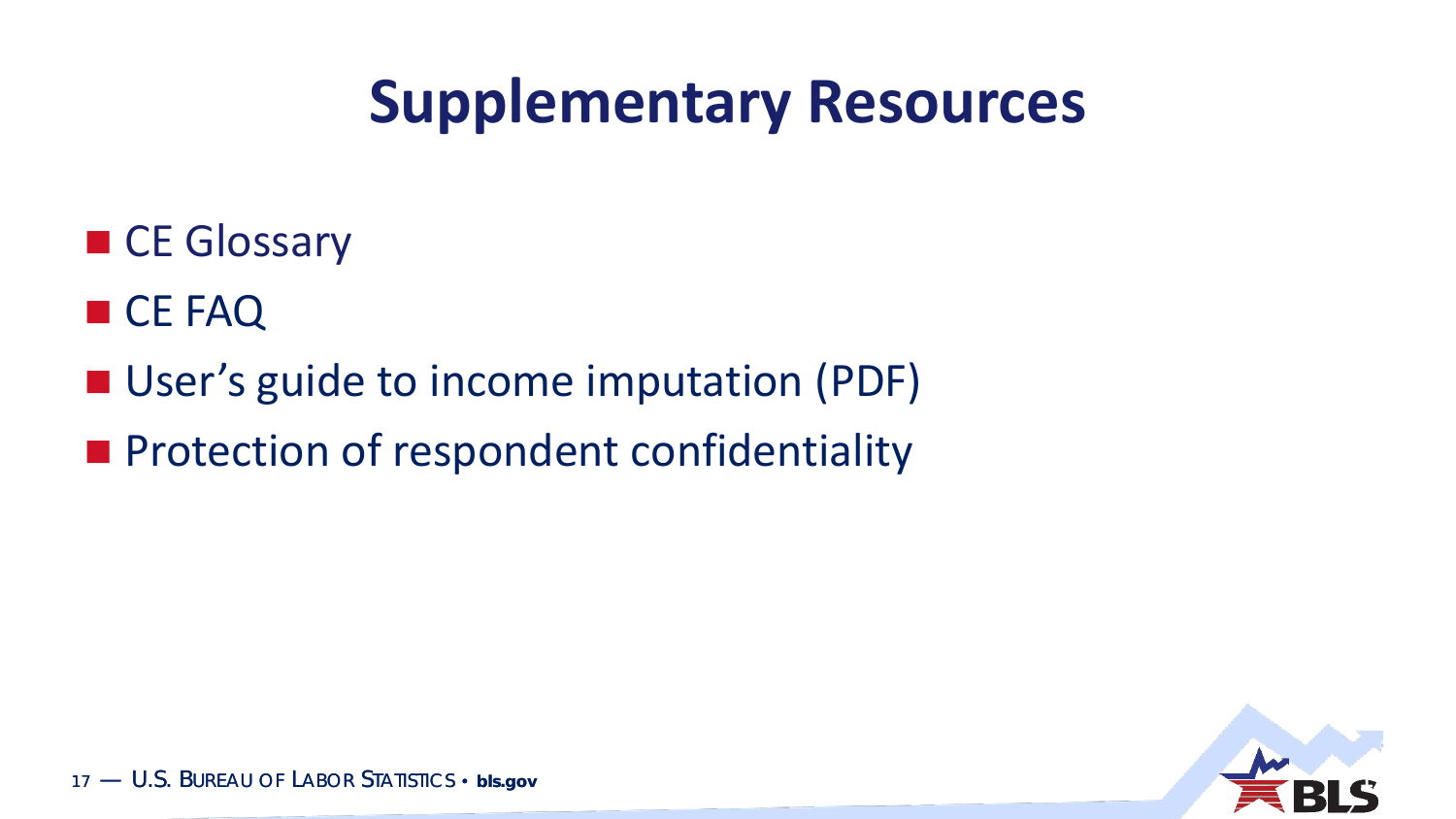### **Supplementary Resources**

- CE Glossary
- CE FAQ
- User's guide to income imputation (PDF)
- **Protection of respondent confidentiality**

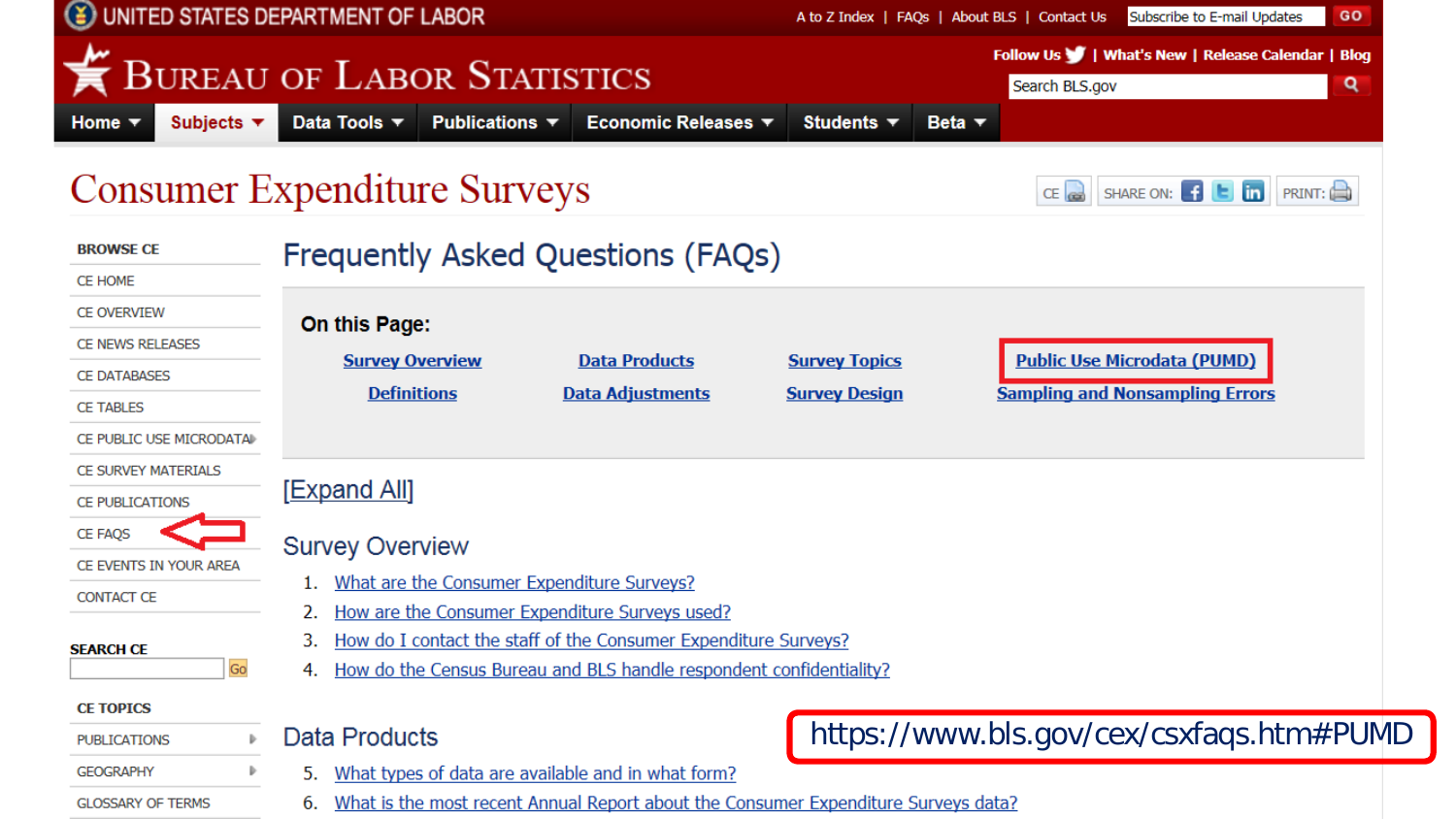| UNITED STATES DEPARTMENT OF LABOR                                                                                   |                                                                                                                                                                                                 |                                   |                                                                     | A to Z Index   FAQs   About BLS   Contact Us | Subscribe to E-mail Updates |                                  | GO                                                                           |               |   |  |
|---------------------------------------------------------------------------------------------------------------------|-------------------------------------------------------------------------------------------------------------------------------------------------------------------------------------------------|-----------------------------------|---------------------------------------------------------------------|----------------------------------------------|-----------------------------|----------------------------------|------------------------------------------------------------------------------|---------------|---|--|
| Subjects $\blacktriangledown$<br>Home $\blacktriangledown$                                                          | <b>BUREAU OF LABOR STATISTICS</b><br>Data Tools $\blacktriangledown$                                                                                                                            | Publications $\blacktriangledown$ | Economic Releases ▼                                                 | Students $\blacktriangledown$                | Beta $\blacktriangledown$   | Search BLS.gov                   | Follow Us     What's New   Release Calendar   Blog                           |               | Q |  |
| <b>Consumer Expenditure Surveys</b>                                                                                 |                                                                                                                                                                                                 |                                   |                                                                     |                                              |                             | $CE$ <sub><math>(x)</math></sub> | SHARE ON: <b>f t</b> in                                                      | <b>PRINT:</b> |   |  |
| <b>BROWSE CE</b><br><b>CE HOME</b>                                                                                  |                                                                                                                                                                                                 |                                   | Frequently Asked Questions (FAQs)                                   |                                              |                             |                                  |                                                                              |               |   |  |
| <b>CE OVERVIEW</b><br><b>CE NEWS RELEASES</b><br><b>CE DATABASES</b><br><b>CE TABLES</b><br>CE PUBLIC USE MICRODATA | On this Page:<br><b>Survey Overview</b><br><b>Definitions</b>                                                                                                                                   |                                   | <b>Data Products</b><br><b>Data Adjustments</b>                     | <b>Survey Topics</b><br><b>Survey Design</b> |                             |                                  | <b>Public Use Microdata (PUMD)</b><br><b>Sampling and Nonsampling Errors</b> |               |   |  |
| CE SURVEY MATERIALS<br><b>CE PUBLICATIONS</b>                                                                       | <u>[Expand All]</u>                                                                                                                                                                             |                                   |                                                                     |                                              |                             |                                  |                                                                              |               |   |  |
| <b>CE FAQS</b><br>CE EVENTS IN YOUR AREA<br><b>CONTACT CE</b><br><b>SEARCH CE</b>                                   | <b>Survey Overview</b><br>What are the Consumer Expenditure Surveys?<br>How are the Consumer Expenditure Surveys used?<br>How do I contact the staff of the Consumer Expenditure Surveys?<br>3. |                                   |                                                                     |                                              |                             |                                  |                                                                              |               |   |  |
| Go<br><b>CE TOPICS</b><br><b>PUBLICATIONS</b>                                                                       | Data Products                                                                                                                                                                                   |                                   | How do the Census Bureau and BLS handle respondent confidentiality? |                                              |                             |                                  | https://www.bls.gov/cex/csxfaqs.htm#PUI                                      |               |   |  |
| <b>GEOGRAPHY</b>                                                                                                    |                                                                                                                                                                                                 |                                   | 5. What types of data are available and in what form?               |                                              |                             |                                  |                                                                              |               |   |  |

ИD

**GLOSSARY OF TERMS** 

6. What is the most recent Annual Report about the Consumer Expenditure Surveys data?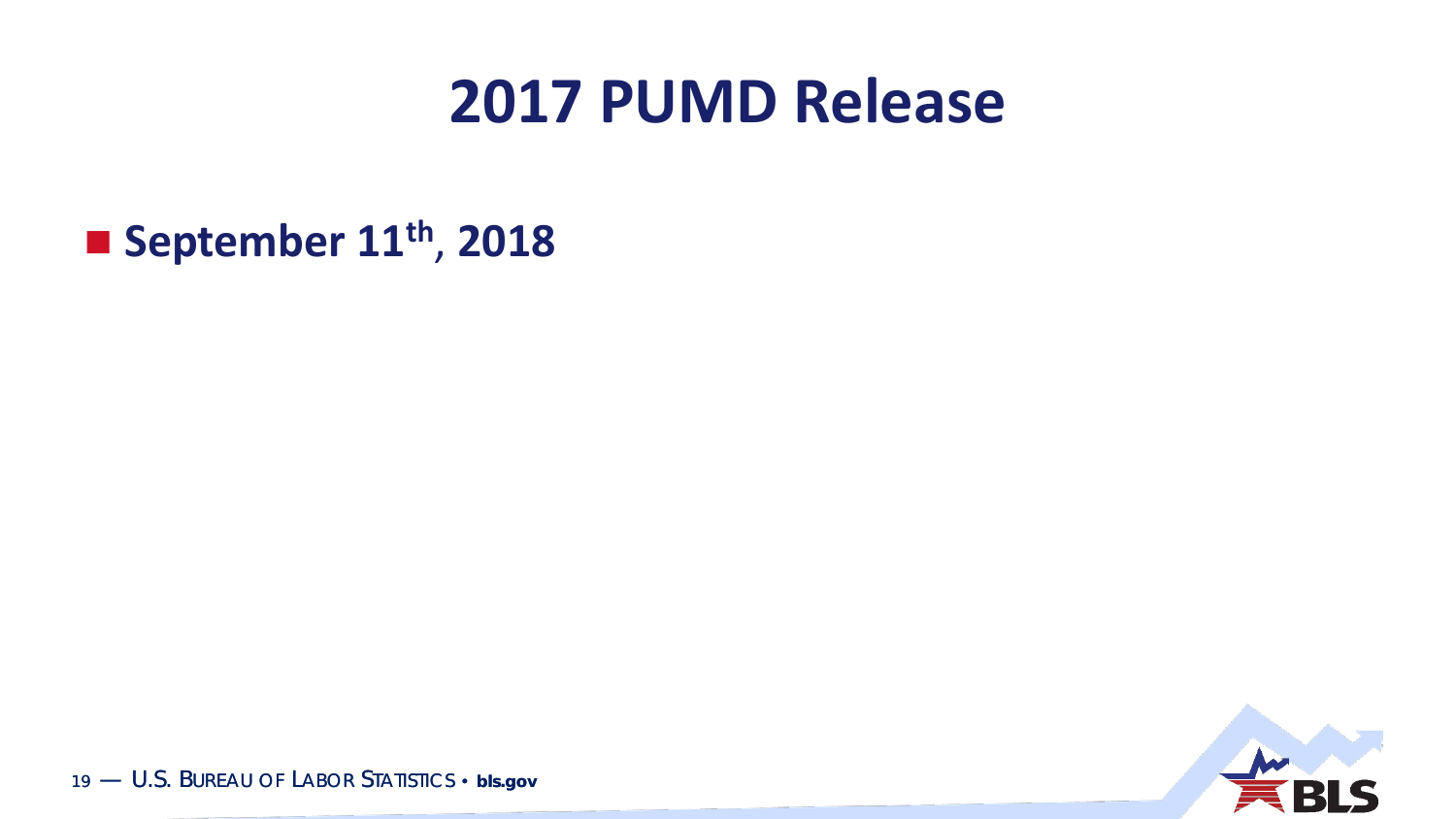#### **2017 PUMD Release**

**September 11th** , **2018**

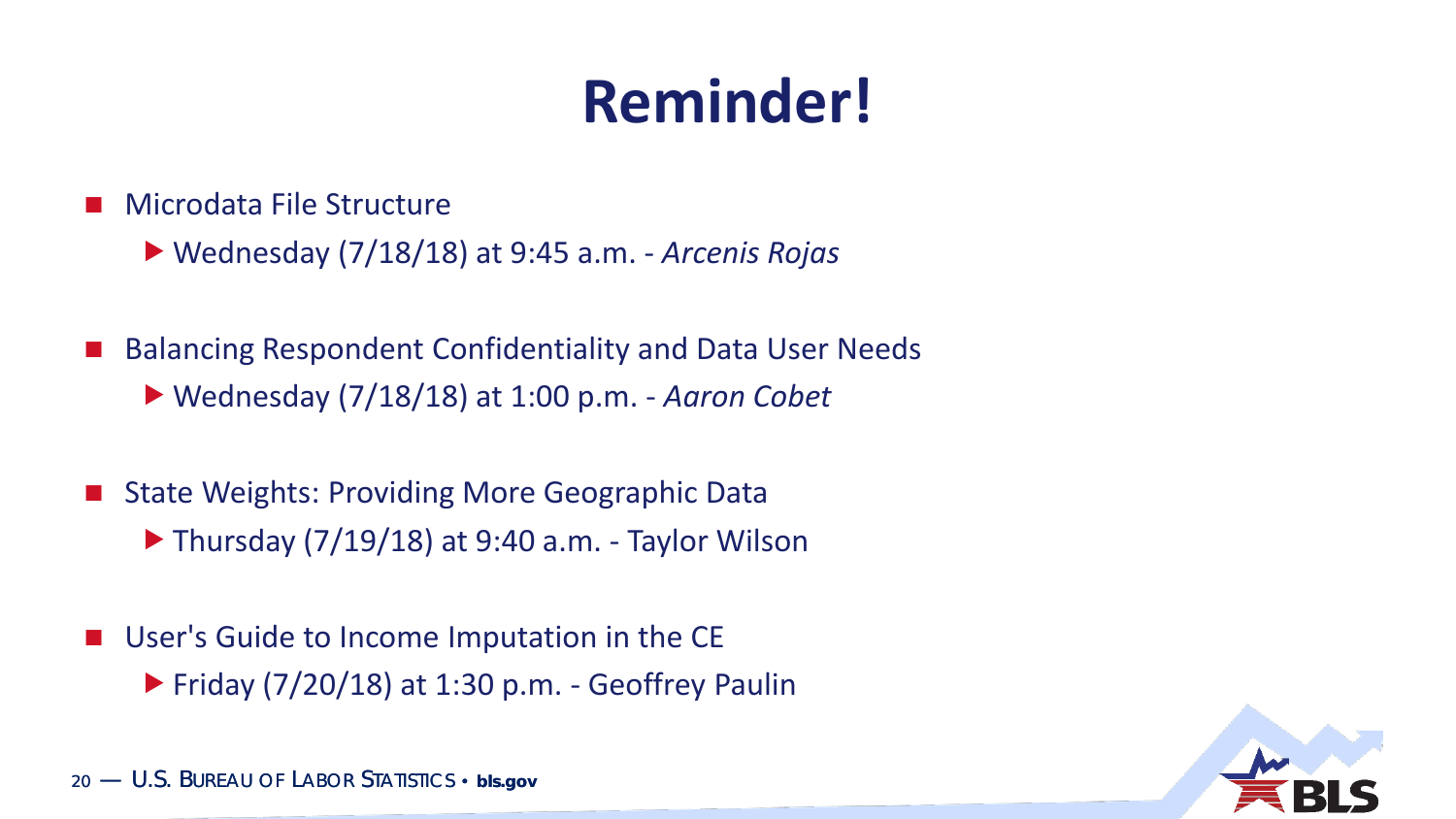# **Reminder!**

- Microdata File Structure
	- Wednesday (7/18/18) at 9:45 a.m. *Arcenis Rojas*
- Balancing Respondent Confidentiality and Data User Needs Wednesday (7/18/18) at 1:00 p.m. - *Aaron Cobet*
- State Weights: Providing More Geographic Data  $\blacktriangleright$  Thursday (7/19/18) at 9:40 a.m. - Taylor Wilson
- **User's Guide to Income Imputation in the CE**  $\blacktriangleright$  Friday (7/20/18) at 1:30 p.m. - Geoffrey Paulin